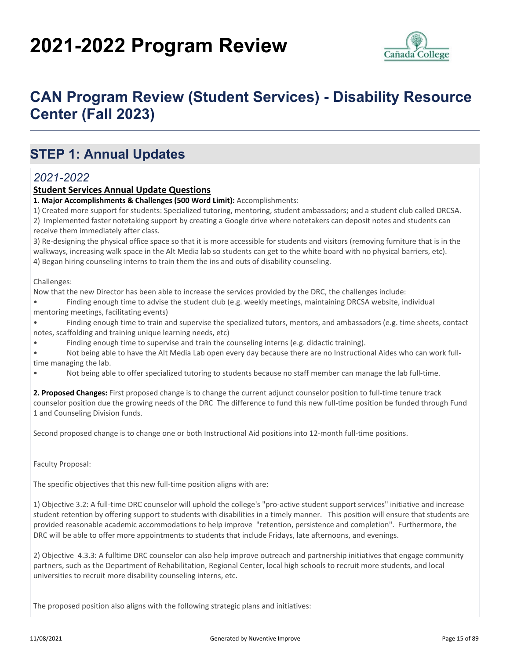# **2021-2022 Program Review**



## **CAN Program Review (Student Services) - Disability Resource Center (Fall 2023)**

### **STEP 1: Annual Updates**

### *2021-2022*

#### **Student Services Annual Update Questions**

**1. Major Accomplishments & Challenges (500 Word Limit):** Accomplishments:

1) Created more support for students: Specialized tutoring, mentoring, student ambassadors; and a student club called DRCSA. 2) Implemented faster notetaking support by creating a Google drive where notetakers can deposit notes and students can receive them immediately after class.

3) Re-designing the physical office space so that it is more accessible for students and visitors (removing furniture that is in the walkways, increasing walk space in the Alt Media lab so students can get to the white board with no physical barriers, etc). 4) Began hiring counseling interns to train them the ins and outs of disability counseling.

Challenges:

Now that the new Director has been able to increase the services provided by the DRC, the challenges include:

• Finding enough time to advise the student club (e.g. weekly meetings, maintaining DRCSA website, individual

mentoring meetings, facilitating events)

• Finding enough time to train and supervise the specialized tutors, mentors, and ambassadors (e.g. time sheets, contact notes, scaffolding and training unique learning needs, etc)

• Finding enough time to supervise and train the counseling interns (e.g. didactic training).

• Not being able to have the Alt Media Lab open every day because there are no Instructional Aides who can work fulltime managing the lab.

• Not being able to offer specialized tutoring to students because no staff member can manage the lab full-time.

**2. Proposed Changes:** First proposed change is to change the current adjunct counselor position to full-time tenure track counselor position due the growing needs of the DRC The difference to fund this new full-time position be funded through Fund 1 and Counseling Division funds.

Second proposed change is to change one or both Instructional Aid positions into 12-month full-time positions.

Faculty Proposal:

The specific objectives that this new full-time position aligns with are:

1) Objective 3.2: A full-time DRC counselor will uphold the college's "pro-active student support services" initiative and increase student retention by offering support to students with disabilities in a timely manner. This position will ensure that students are provided reasonable academic accommodations to help improve "retention, persistence and completion". Furthermore, the DRC will be able to offer more appointments to students that include Fridays, late afternoons, and evenings.

2) Objective 4.3.3: A fulltime DRC counselor can also help improve outreach and partnership initiatives that engage community partners, such as the Department of Rehabilitation, Regional Center, local high schools to recruit more students, and local universities to recruit more disability counseling interns, etc.

The proposed position also aligns with the following strategic plans and initiatives: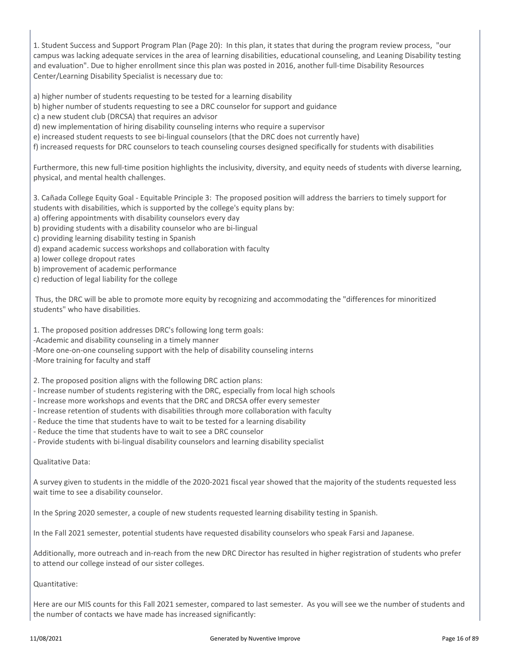1. Student Success and Support Program Plan (Page 20): In this plan, it states that during the program review process, "our campus was lacking adequate services in the area of learning disabilities, educational counseling, and Leaning Disability testing and evaluation". Due to higher enrollment since this plan was posted in 2016, another full-time Disability Resources Center/Learning Disability Specialist is necessary due to:

a) higher number of students requesting to be tested for a learning disability

- b) higher number of students requesting to see a DRC counselor for support and guidance
- c) a new student club (DRCSA) that requires an advisor
- d) new implementation of hiring disability counseling interns who require a supervisor
- e) increased student requests to see bi-lingual counselors (that the DRC does not currently have)
- f) increased requests for DRC counselors to teach counseling courses designed specifically for students with disabilities

Furthermore, this new full-time position highlights the inclusivity, diversity, and equity needs of students with diverse learning, physical, and mental health challenges.

3. Cañada College Equity Goal - Equitable Principle 3: The proposed position will address the barriers to timely support for students with disabilities, which is supported by the college's equity plans by:

- a) offering appointments with disability counselors every day
- b) providing students with a disability counselor who are bi-lingual
- c) providing learning disability testing in Spanish
- d) expand academic success workshops and collaboration with faculty
- a) lower college dropout rates
- b) improvement of academic performance
- c) reduction of legal liability for the college

 Thus, the DRC will be able to promote more equity by recognizing and accommodating the "differences for minoritized students" who have disabilities.

1. The proposed position addresses DRC's following long term goals:

-Academic and disability counseling in a timely manner

-More one-on-one counseling support with the help of disability counseling interns

-More training for faculty and staff

2. The proposed position aligns with the following DRC action plans:

- Increase number of students registering with the DRC, especially from local high schools
- Increase more workshops and events that the DRC and DRCSA offer every semester
- Increase retention of students with disabilities through more collaboration with faculty
- Reduce the time that students have to wait to be tested for a learning disability
- Reduce the time that students have to wait to see a DRC counselor
- Provide students with bi-lingual disability counselors and learning disability specialist

Qualitative Data:

A survey given to students in the middle of the 2020-2021 fiscal year showed that the majority of the students requested less wait time to see a disability counselor.

In the Spring 2020 semester, a couple of new students requested learning disability testing in Spanish.

In the Fall 2021 semester, potential students have requested disability counselors who speak Farsi and Japanese.

Additionally, more outreach and in-reach from the new DRC Director has resulted in higher registration of students who prefer to attend our college instead of our sister colleges.

Quantitative:

Here are our MIS counts for this Fall 2021 semester, compared to last semester. As you will see we the number of students and the number of contacts we have made has increased significantly: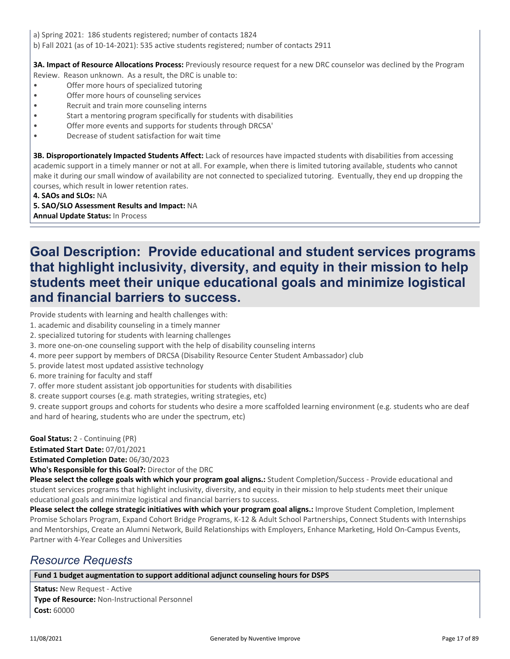a) Spring 2021: 186 students registered; number of contacts 1824 b) Fall 2021 (as of 10-14-2021): 535 active students registered; number of contacts 2911

**3A. Impact of Resource Allocations Process:** Previously resource request for a new DRC counselor was declined by the Program

- Review. Reason unknown. As a result, the DRC is unable to: • Offer more hours of specialized tutoring
- Offer more hours of counseling services
- Recruit and train more counseling interns
- Start a mentoring program specifically for students with disabilities
- Offer more events and supports for students through DRCSA'
- Decrease of student satisfaction for wait time

**3B. Disproportionately Impacted Students Affect:** Lack of resources have impacted students with disabilities from accessing academic support in a timely manner or not at all. For example, when there is limited tutoring available, students who cannot make it during our small window of availability are not connected to specialized tutoring. Eventually, they end up dropping the courses, which result in lower retention rates.

**4. SAOs and SLOs:** NA

**5. SAO/SLO Assessment Results and Impact:** NA

**Annual Update Status:** In Process

### **Goal Description: Provide educational and student services programs that highlight inclusivity, diversity, and equity in their mission to help students meet their unique educational goals and minimize logistical and financial barriers to success.**

Provide students with learning and health challenges with:

- 1. academic and disability counseling in a timely manner
- 2. specialized tutoring for students with learning challenges
- 3. more one-on-one counseling support with the help of disability counseling interns
- 4. more peer support by members of DRCSA (Disability Resource Center Student Ambassador) club
- 5. provide latest most updated assistive technology
- 6. more training for faculty and staff
- 7. offer more student assistant job opportunities for students with disabilities
- 8. create support courses (e.g. math strategies, writing strategies, etc)

9. create support groups and cohorts for students who desire a more scaffolded learning environment (e.g. students who are deaf and hard of hearing, students who are under the spectrum, etc)

**Goal Status:** 2 - Continuing (PR)

**Estimated Start Date:** 07/01/2021

**Estimated Completion Date:** 06/30/2023

**Who's Responsible for this Goal?:** Director of the DRC

**Please select the college goals with which your program goal aligns.:** Student Completion/Success - Provide educational and student services programs that highlight inclusivity, diversity, and equity in their mission to help students meet their unique educational goals and minimize logistical and financial barriers to success.

**Please select the college strategic initiatives with which your program goal aligns.:** Improve Student Completion, Implement Promise Scholars Program, Expand Cohort Bridge Programs, K-12 & Adult School Partnerships, Connect Students with Internships and Mentorships, Create an Alumni Network, Build Relationships with Employers, Enhance Marketing, Hold On-Campus Events, Partner with 4-Year Colleges and Universities

### *Resource Requests*

#### **Fund 1 budget augmentation to support additional adjunct counseling hours for DSPS**

**Status:** New Request - Active **Type of Resource:** Non-Instructional Personnel **Cost:** 60000